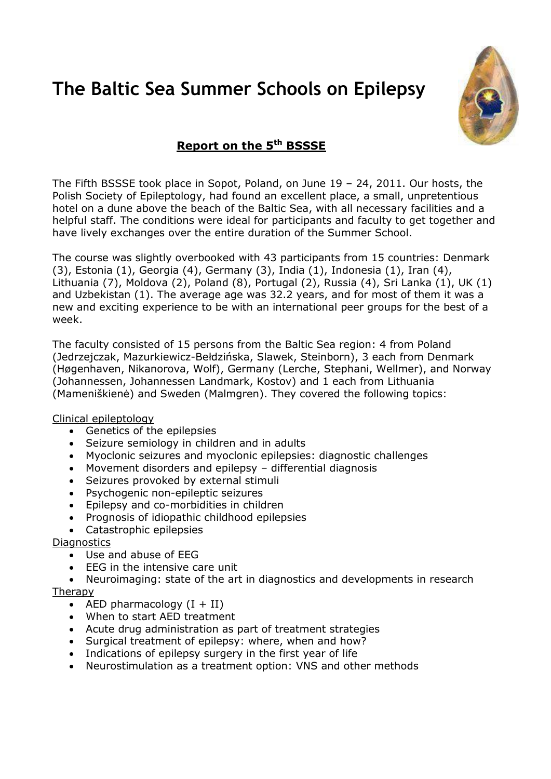## **The Baltic Sea Summer Schools on Epilepsy**



## **Report on the 5th BSSSE**

The Fifth BSSSE took place in Sopot, Poland, on June 19 – 24, 2011. Our hosts, the Polish Society of Epileptology, had found an excellent place, a small, unpretentious hotel on a dune above the beach of the Baltic Sea, with all necessary facilities and a helpful staff. The conditions were ideal for participants and faculty to get together and have lively exchanges over the entire duration of the Summer School.

The course was slightly overbooked with 43 participants from 15 countries: Denmark (3), Estonia (1), Georgia (4), Germany (3), India (1), Indonesia (1), Iran (4), Lithuania (7), Moldova (2), Poland (8), Portugal (2), Russia (4), Sri Lanka (1), UK (1) and Uzbekistan (1). The average age was 32.2 years, and for most of them it was a new and exciting experience to be with an international peer groups for the best of a week.

The faculty consisted of 15 persons from the Baltic Sea region: 4 from Poland (Jedrzejczak, Mazurkiewicz-Bełdzińska, Slawek, Steinborn), 3 each from Denmark (Høgenhaven, Nikanorova, Wolf), Germany (Lerche, Stephani, Wellmer), and Norway (Johannessen, Johannessen Landmark, Kostov) and 1 each from Lithuania (Mameniškienė) and Sweden (Malmgren). They covered the following topics:

## Clinical epileptology

- Genetics of the epilepsies
- Seizure semiology in children and in adults
- Myoclonic seizures and myoclonic epilepsies: diagnostic challenges
- Movement disorders and epilepsy differential diagnosis
- Seizures provoked by external stimuli
- Psychogenic non-epileptic seizures
- Epilepsy and co-morbidities in children
- Prognosis of idiopathic childhood epilepsies
- Catastrophic epilepsies

## **Diagnostics**

- Use and abuse of EEG
- EEG in the intensive care unit

 Neuroimaging: state of the art in diagnostics and developments in research Therapy

- AED pharmacology  $(I + II)$
- When to start AED treatment
- Acute drug administration as part of treatment strategies
- Surgical treatment of epilepsy: where, when and how?
- Indications of epilepsy surgery in the first year of life
- Neurostimulation as a treatment option: VNS and other methods